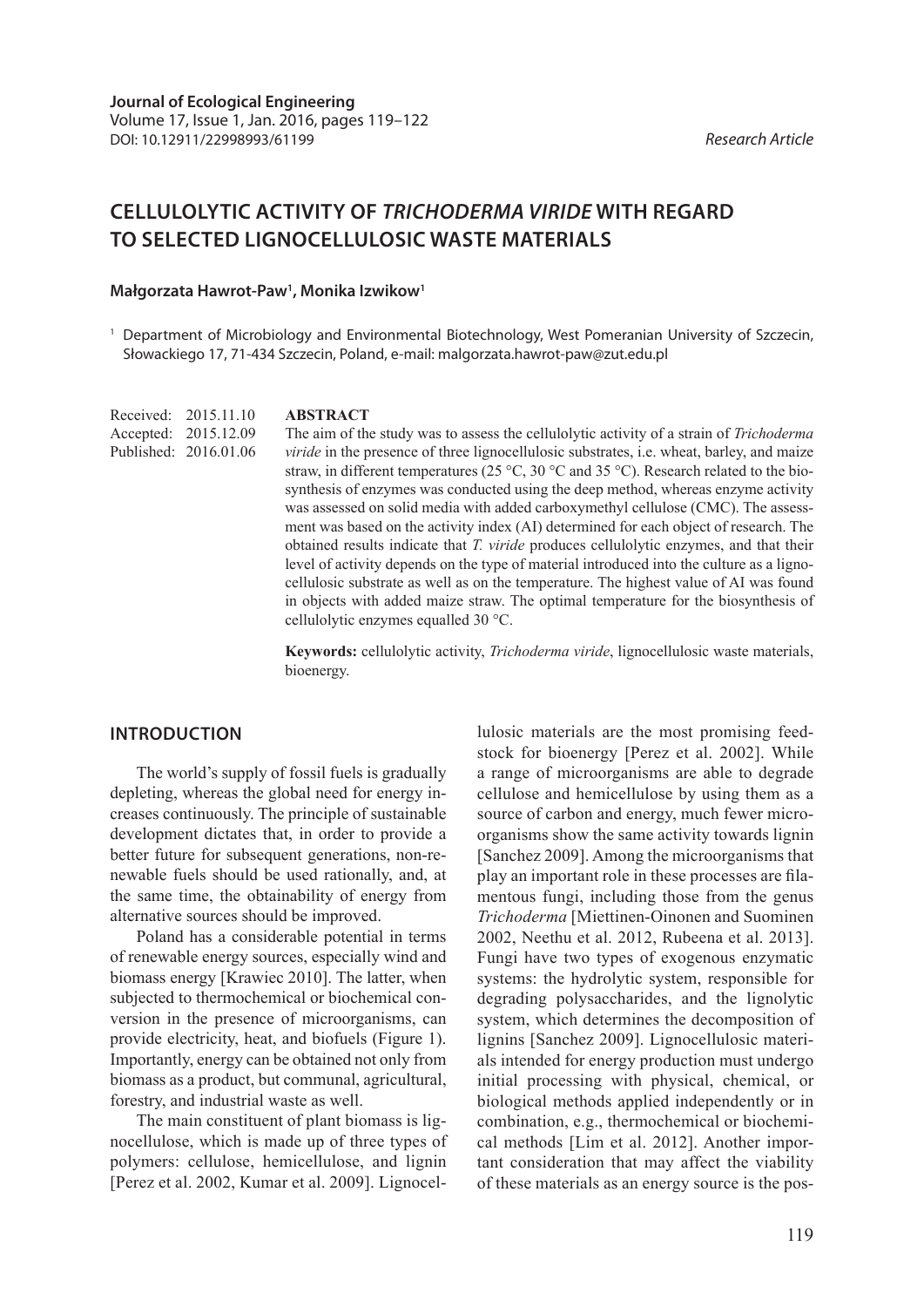# **CELLULOLYTIC ACTIVITY OF** *TRICHODERMA VIRIDE* **WITH REGARD TO SELECTED LIGNOCELLULOSIC WASTE MATERIALS**

#### **Małgorzata Hawrot-Paw1 , Monika Izwikow1**

<sup>1</sup> Department of Microbiology and Environmental Biotechnology, West Pomeranian University of Szczecin, Słowackiego 17, 71-434 Szczecin, Poland, e-mail: malgorzata.hawrot-paw@zut.edu.pl

Received: 2015.11.10 Accepted: 2015.12.09 Published: 2016.01.06

#### **ABSTRACT**

The aim of the study was to assess the cellulolytic activity of a strain of *Trichoderma viride* in the presence of three lignocellulosic substrates, i.e. wheat, barley, and maize straw, in different temperatures (25 °C, 30 °C and 35 °C). Research related to the biosynthesis of enzymes was conducted using the deep method, whereas enzyme activity was assessed on solid media with added carboxymethyl cellulose (CMC). The assessment was based on the activity index (AI) determined for each object of research. The obtained results indicate that *T. viride* produces cellulolytic enzymes, and that their level of activity depends on the type of material introduced into the culture as a lignocellulosic substrate as well as on the temperature. The highest value of AI was found in objects with added maize straw. The optimal temperature for the biosynthesis of cellulolytic enzymes equalled 30 °C.

**Keywords:** cellulolytic activity, *Trichoderma viride*, lignocellulosic waste materials, bioenergy.

## **INTRODUCTION**

The world's supply of fossil fuels is gradually depleting, whereas the global need for energy increases continuously. The principle of sustainable development dictates that, in order to provide a better future for subsequent generations, non-renewable fuels should be used rationally, and, at the same time, the obtainability of energy from alternative sources should be improved.

Poland has a considerable potential in terms of renewable energy sources, especially wind and biomass energy [Krawiec 2010]. The latter, when subjected to thermochemical or biochemical conversion in the presence of microorganisms, can provide electricity, heat, and biofuels (Figure 1). Importantly, energy can be obtained not only from biomass as a product, but communal, agricultural, forestry, and industrial waste as well.

The main constituent of plant biomass is lignocellulose, which is made up of three types of polymers: cellulose, hemicellulose, and lignin [Perez et al. 2002, Kumar et al. 2009]. Lignocellulosic materials are the most promising feedstock for bioenergy [Perez et al. 2002]. While a range of microorganisms are able to degrade cellulose and hemicellulose by using them as a source of carbon and energy, much fewer microorganisms show the same activity towards lignin [Sanchez 2009]. Among the microorganisms that play an important role in these processes are filamentous fungi, including those from the genus *Trichoderma* [Miettinen-Oinonen and Suominen 2002, Neethu et al. 2012, Rubeena et al. 2013]. Fungi have two types of exogenous enzymatic systems: the hydrolytic system, responsible for degrading polysaccharides, and the lignolytic system, which determines the decomposition of lignins [Sanchez 2009]. Lignocellulosic materials intended for energy production must undergo initial processing with physical, chemical, or biological methods applied independently or in combination, e.g., thermochemical or biochemical methods [Lim et al. 2012]. Another important consideration that may affect the viability of these materials as an energy source is the pos-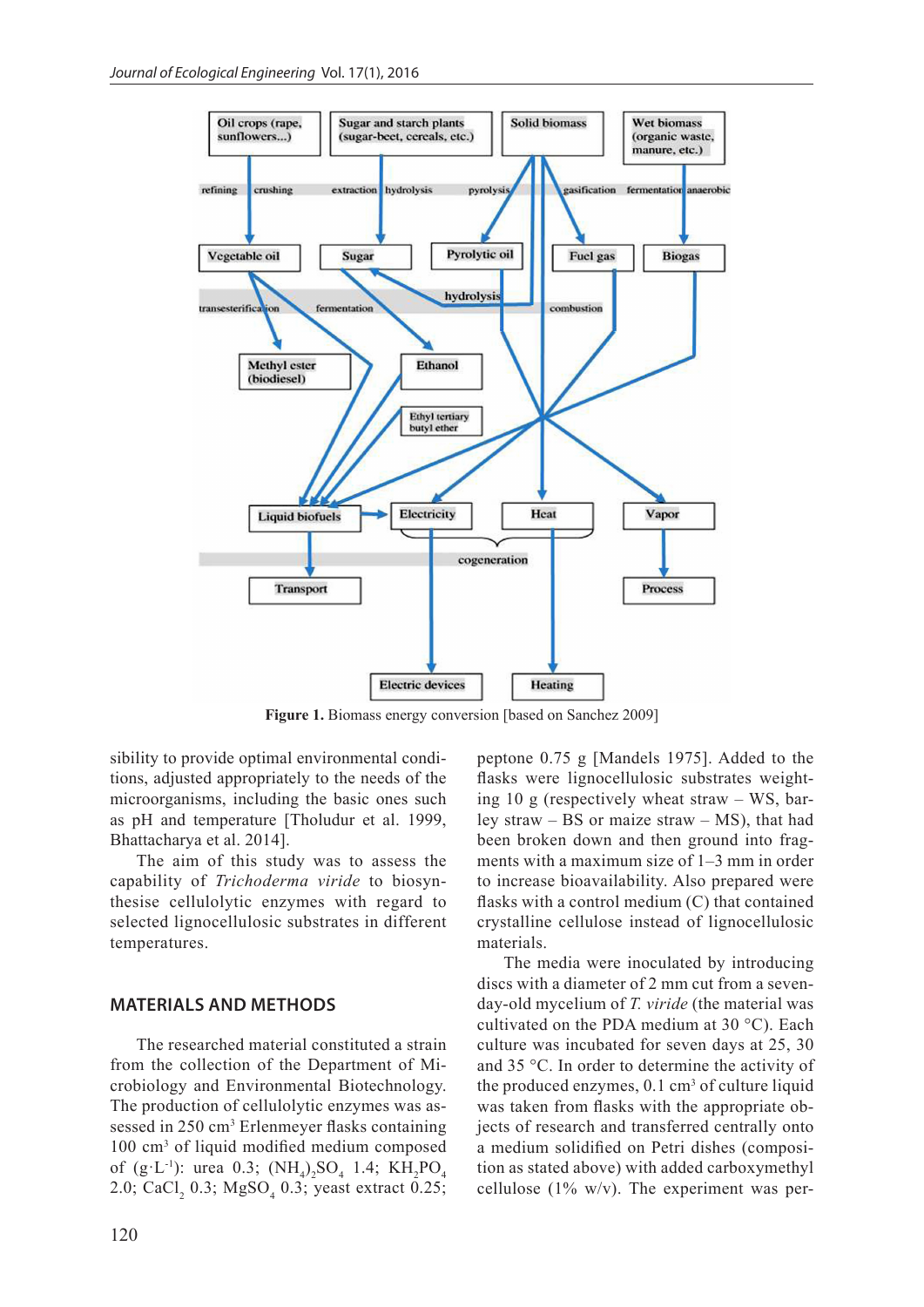

**Figure 1.** Biomass energy conversion [based on Sanchez 2009]

sibility to provide optimal environmental conditions, adjusted appropriately to the needs of the microorganisms, including the basic ones such as pH and temperature [Tholudur et al. 1999, Bhattacharya et al. 2014].

The aim of this study was to assess the capability of *Trichoderma viride* to biosynthesise cellulolytic enzymes with regard to selected lignocellulosic substrates in different temperatures.

# **MATERIALS AND METHODS**

The researched material constituted a strain from the collection of the Department of Microbiology and Environmental Biotechnology. The production of cellulolytic enzymes was assessed in 250 cm<sup>3</sup> Erlenmeyer flasks containing 100 cm3 of liquid modified medium composed of (g·L<sup>-1</sup>): urea 0.3;  $(NH_4)_2SO_4$  1.4;  $KH_2PO_4$ 2.0; CaCl<sub>2</sub> 0.3; MgSO<sub>4</sub> 0.3; yeast extract 0.25; peptone 0.75 g [Mandels 1975]. Added to the flasks were lignocellulosic substrates weighting 10 g (respectively wheat straw – WS, barley straw – BS or maize straw – MS), that had been broken down and then ground into fragments with a maximum size of 1–3 mm in order to increase bioavailability. Also prepared were flasks with a control medium (C) that contained crystalline cellulose instead of lignocellulosic materials.

The media were inoculated by introducing discs with a diameter of 2 mm cut from a sevenday-old mycelium of *T. viride* (the material was cultivated on the PDA medium at 30 °C). Each culture was incubated for seven days at 25, 30 and 35 °C. In order to determine the activity of the produced enzymes,  $0.1 \text{ cm}^3$  of culture liquid was taken from flasks with the appropriate objects of research and transferred centrally onto a medium solidified on Petri dishes (composition as stated above) with added carboxymethyl cellulose (1% w/v). The experiment was per-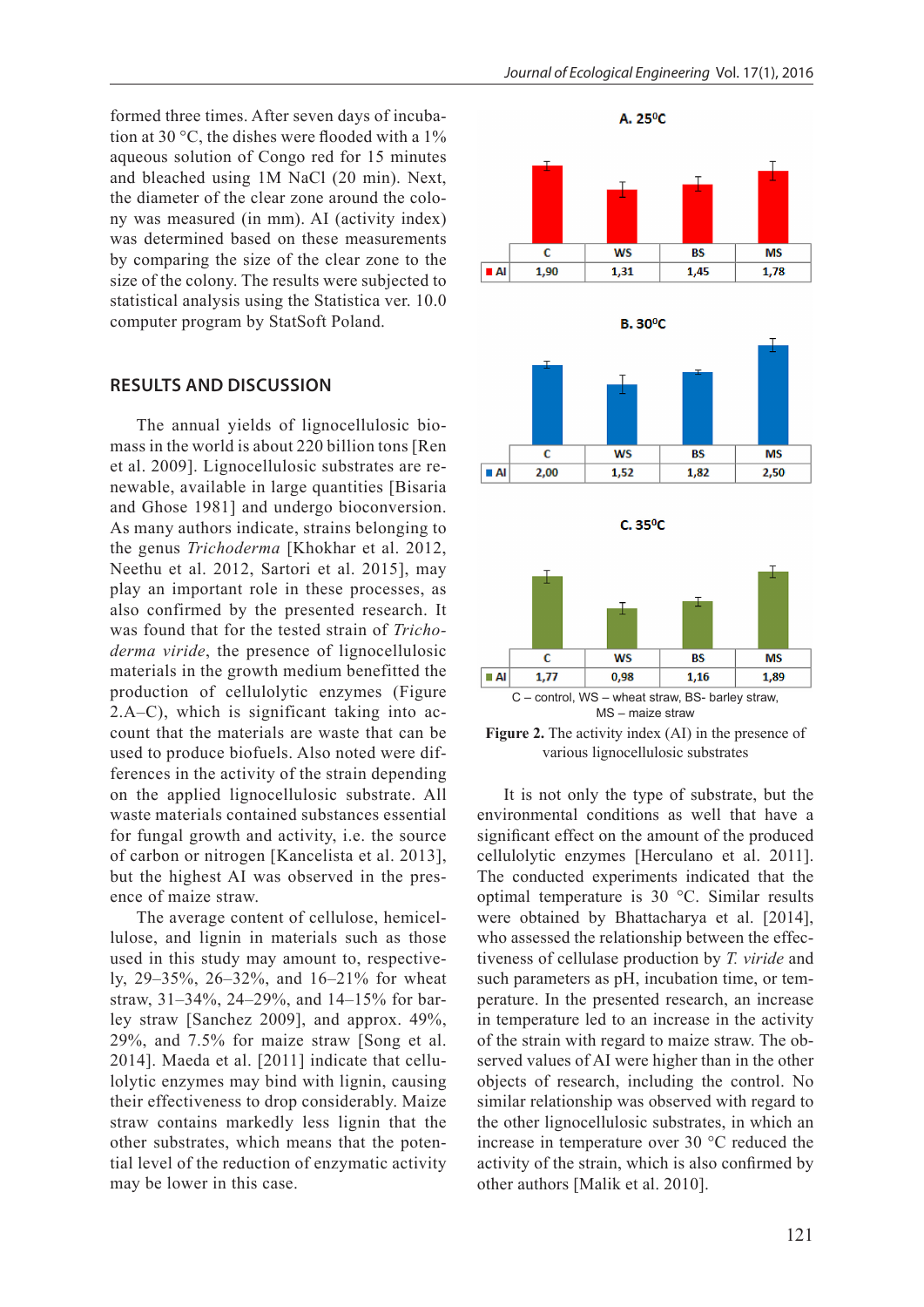*Journal of Ecological Engineering* Vol. 17(1), 2016

formed three times. After seven days of incubation at 30 °C, the dishes were flooded with a 1% aqueous solution of Congo red for 15 minutes and bleached using 1M NaCl (20 min). Next, the diameter of the clear zone around the colony was measured (in mm). AI (activity index) was determined based on these measurements by comparing the size of the clear zone to the size of the colony. The results were subjected to statistical analysis using the Statistica ver. 10.0 computer program by StatSoft Poland.

# **RESULTS AND DISCUSSION**

The annual yields of lignocellulosic biomass in the world is about 220 billion tons [Ren et al. 2009]. Lignocellulosic substrates are renewable, available in large quantities [Bisaria and Ghose 1981] and undergo bioconversion. As many authors indicate, strains belonging to the genus *Trichoderma* [Khokhar et al. 2012, Neethu et al. 2012, Sartori et al. 2015], may play an important role in these processes, as also confirmed by the presented research. It was found that for the tested strain of *Trichoderma viride*, the presence of lignocellulosic materials in the growth medium benefitted the production of cellulolytic enzymes (Figure 2.A–C), which is significant taking into account that the materials are waste that can be used to produce biofuels. Also noted were differences in the activity of the strain depending on the applied lignocellulosic substrate. All waste materials contained substances essential for fungal growth and activity, i.e. the source of carbon or nitrogen [Kancelista et al. 2013], but the highest AI was observed in the presence of maize straw.

The average content of cellulose, hemicellulose, and lignin in materials such as those used in this study may amount to, respectively, 29–35%, 26–32%, and 16–21% for wheat straw, 31–34%, 24–29%, and 14–15% for barley straw [Sanchez 2009], and approx. 49%, 29%, and 7.5% for maize straw [Song et al. 2014]. Maeda et al. [2011] indicate that cellulolytic enzymes may bind with lignin, causing their effectiveness to drop considerably. Maize straw contains markedly less lignin that the other substrates, which means that the potential level of the reduction of enzymatic activity may be lower in this case.



**Figure 2.** The activity index (AI) in the presence of various lignocellulosic substrates

It is not only the type of substrate, but the environmental conditions as well that have a significant effect on the amount of the produced cellulolytic enzymes [Herculano et al. 2011]. The conducted experiments indicated that the optimal temperature is 30 °C. Similar results were obtained by Bhattacharya et al. [2014], who assessed the relationship between the effectiveness of cellulase production by *T. viride* and such parameters as pH, incubation time, or temperature. In the presented research, an increase in temperature led to an increase in the activity of the strain with regard to maize straw. The observed values of AI were higher than in the other objects of research, including the control. No similar relationship was observed with regard to the other lignocellulosic substrates, in which an increase in temperature over 30 °C reduced the activity of the strain, which is also confirmed by other authors [Malik et al. 2010].